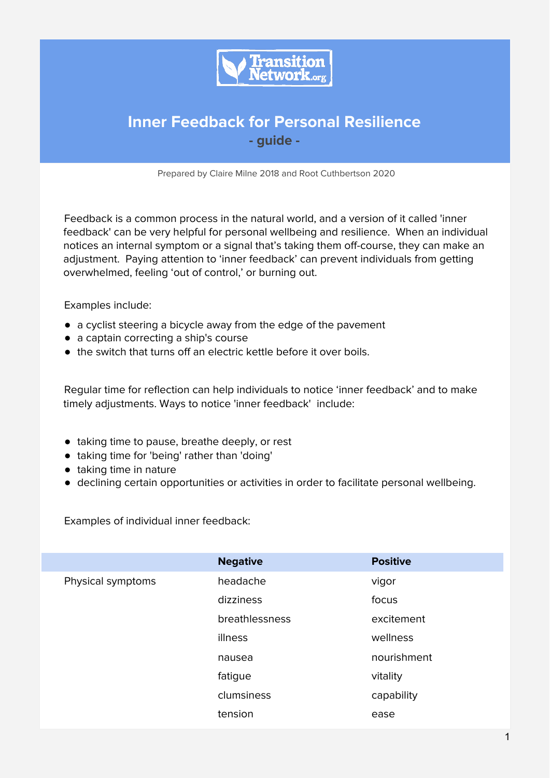

# **Inner Feedback for Personal Resilience - guide -**

Prepared by Claire Milne 2018 and Root Cuthbertson 2020

Feedback is a common process in the natural world, and a version of it called 'inner feedback' can be very helpful for personal wellbeing and resilience. When an individual notices an internal symptom or a signal that's taking them off-course, they can make an adjustment. Paying attention to 'inner feedback' can prevent individuals from getting overwhelmed, feeling 'out of control,' or burning out.

Examples include:

- a cyclist steering a bicycle away from the edge of the pavement
- a captain correcting a ship's course
- the switch that turns off an electric kettle before it over boils.

Regular time for reflection can help individuals to notice 'inner feedback' and to make timely adjustments. Ways to notice 'inner feedback' include:

- taking time to pause, breathe deeply, or rest
- taking time for 'being' rather than 'doing'
- taking time in nature
- declining certain opportunities or activities in order to facilitate personal wellbeing.

Examples of individual inner feedback:

|                   | <b>Negative</b> | <b>Positive</b> |
|-------------------|-----------------|-----------------|
| Physical symptoms | headache        | vigor           |
|                   | dizziness       | focus           |
|                   | breathlessness  | excitement      |
|                   | illness         | wellness        |
|                   | nausea          | nourishment     |
|                   | fatigue         | vitality        |
|                   | clumsiness      | capability      |
|                   | tension         | ease            |
|                   |                 |                 |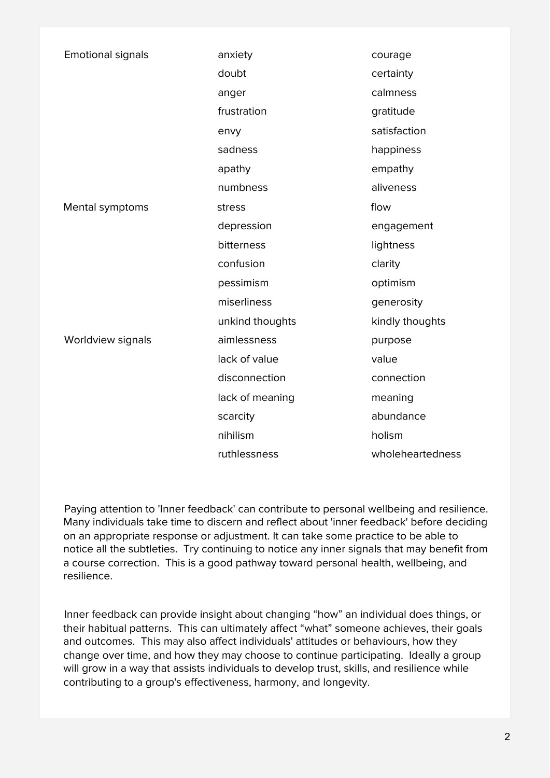| <b>Emotional signals</b> | anxiety         | courage          |
|--------------------------|-----------------|------------------|
|                          | doubt           | certainty        |
|                          | anger           | calmness         |
|                          | frustration     | gratitude        |
|                          | envy            | satisfaction     |
|                          | sadness         | happiness        |
|                          | apathy          | empathy          |
|                          | numbness        | aliveness        |
| Mental symptoms          | stress          | flow             |
|                          | depression      | engagement       |
|                          | bitterness      | lightness        |
|                          | confusion       | clarity          |
|                          | pessimism       | optimism         |
|                          | miserliness     | generosity       |
|                          | unkind thoughts | kindly thoughts  |
| Worldview signals        | aimlessness     | purpose          |
|                          | lack of value   | value            |
|                          | disconnection   | connection       |
|                          | lack of meaning | meaning          |
|                          | scarcity        | abundance        |
|                          | nihilism        | holism           |
|                          | ruthlessness    | wholeheartedness |

Paying attention to 'Inner feedback' can contribute to personal wellbeing and resilience. Many individuals take time to discern and reflect about 'inner feedback' before deciding on an appropriate response or adjustment. It can take some practice to be able to notice all the subtleties. Try continuing to notice any inner signals that may benefit from a course correction. This is a good pathway toward personal health, wellbeing, and resilience.

Inner feedback can provide insight about changing "how" an individual does things, or their habitual patterns. This can ultimately affect "what" someone achieves, their goals and outcomes. This may also affect individuals' attitudes or behaviours, how they change over time, and how they may choose to continue participating. Ideally a group will grow in a way that assists individuals to develop trust, skills, and resilience while contributing to a group's effectiveness, harmony, and longevity.